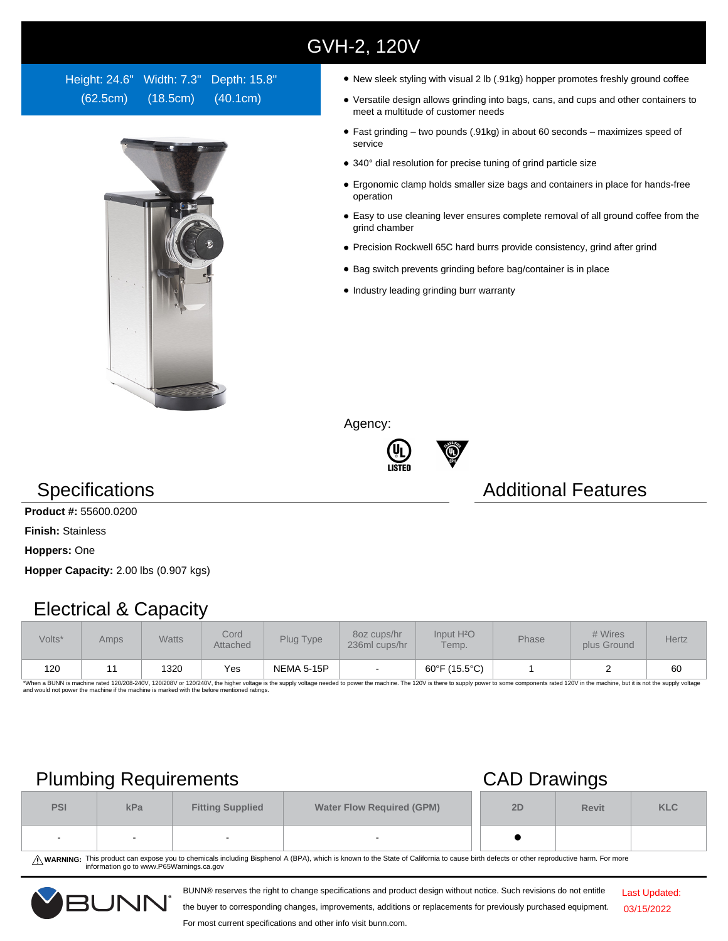## GVH-2, 120V

Height: 24.6" Width: 7.3" Depth: 15.8" (62.5cm) (18.5cm) (40.1cm)



- New sleek styling with visual 2 lb (.91kg) hopper promotes freshly ground coffee
- Versatile design allows grinding into bags, cans, and cups and other containers to meet a multitude of customer needs
- Fast grinding two pounds (.91kg) in about 60 seconds maximizes speed of service
- 340° dial resolution for precise tuning of grind particle size
- Ergonomic clamp holds smaller size bags and containers in place for hands-free operation
- Easy to use cleaning lever ensures complete removal of all ground coffee from the grind chamber
- Precision Rockwell 65C hard burrs provide consistency, grind after grind
- Bag switch prevents grinding before bag/container is in place
- Industry leading grinding burr warranty

Agency:





### **Specifications Additional Features**

**Product #:** 55600.0200

**Finish:** Stainless

**Hoppers:** One

**Hopper Capacity:** 2.00 lbs (0.907 kgs)

### Electrical & Capacity

| Volts* | Amps | Watts | Cord<br><b>Attached</b> | Plug Type  | 80z cups/hr<br>236ml cups/hr | Input H <sup>2</sup> O<br>Temp. | <b>Phase</b> | # Wires<br>plus Ground | Hertz |
|--------|------|-------|-------------------------|------------|------------------------------|---------------------------------|--------------|------------------------|-------|
| 120    |      | 1320  | Yes                     | NEMA 5-15P | $\overline{\phantom{a}}$     | 60°F (15.5°C)                   |              |                        | 60    |

\*When a BUNN is machine rated 120/208-240V, 120/208V or 120/240V, the higher voltage is the supply voltage needed to power the machine. The 120V is there to supply power to some components rated 120V in the machine, but it

## Plumbing Requirements CAD Drawings

| <b>PSI</b> | kPa | <b>Fitting Supplied</b>  | <b>Water Flow Required (GPM)</b> | 2D | <b>Revit</b> | <b>KLC</b> |
|------------|-----|--------------------------|----------------------------------|----|--------------|------------|
| $\sim$     |     | $\overline{\phantom{0}}$ | $\sim$                           |    |              |            |

WARNING: This product can expose you to chemicals including Bisphenol A (BPA), which is known to the State of California to cause birth defects or other reproductive harm. For more<br>information go to www.P65Warnings.ca.gov

BUNN® reserves the right to change specifications and product design without notice. Such revisions do not entitle

Last Updated: 03/15/2022

the buyer to corresponding changes, improvements, additions or replacements for previously purchased equipment. For most current specifications and other info visit bunn.com.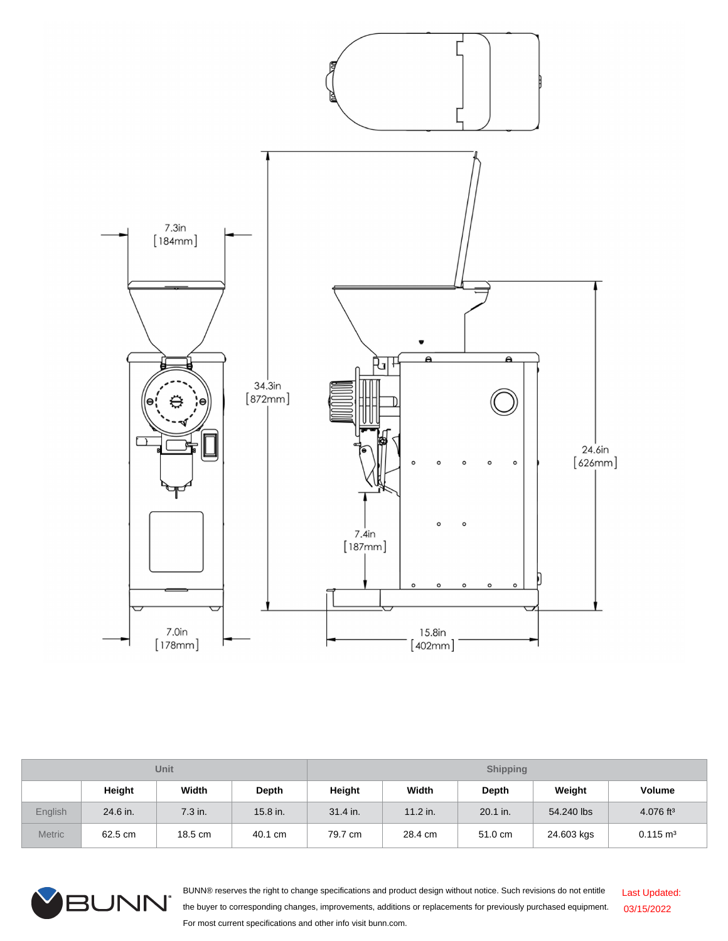

| <b>Unit</b>    |          |         |              | <b>Shipping</b> |            |          |            |                         |  |
|----------------|----------|---------|--------------|-----------------|------------|----------|------------|-------------------------|--|
|                | Height   | Width   | <b>Depth</b> | Height          | Width      | Depth    | Weight     | <b>Volume</b>           |  |
| <b>English</b> | 24.6 in. | 7.3 in. | 15.8 in.     | 31.4 in.        | $11.2$ in. | 20.1 in. | 54,240 lbs | $4.076$ ft <sup>3</sup> |  |
| <b>Metric</b>  | 62.5 cm  | 18.5 cm | 40.1 cm      | 79.7 cm         | 28.4 cm    | 51.0 cm  | 24.603 kgs | $0.115 \text{ m}^3$     |  |



BUNN® reserves the right to change specifications and product design without notice. Such revisions do not entitle the buyer to corresponding changes, improvements, additions or replacements for previously purchased equipment. For most current specifications and other info visit bunn.com. Last Updated: 03/15/2022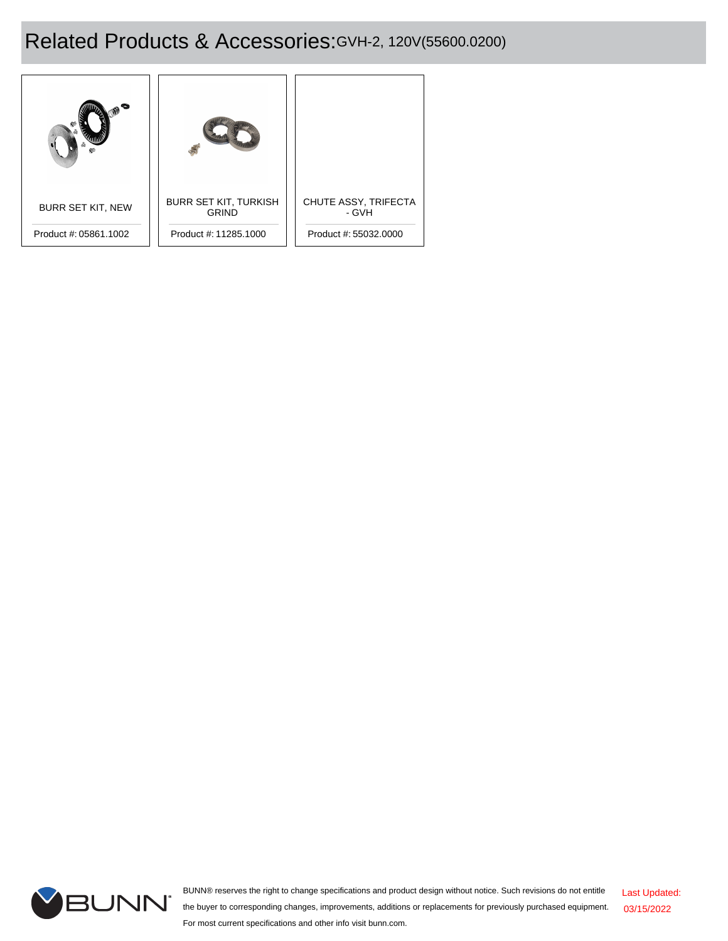# Related Products & Accessories:GVH-2, 120V(55600.0200)